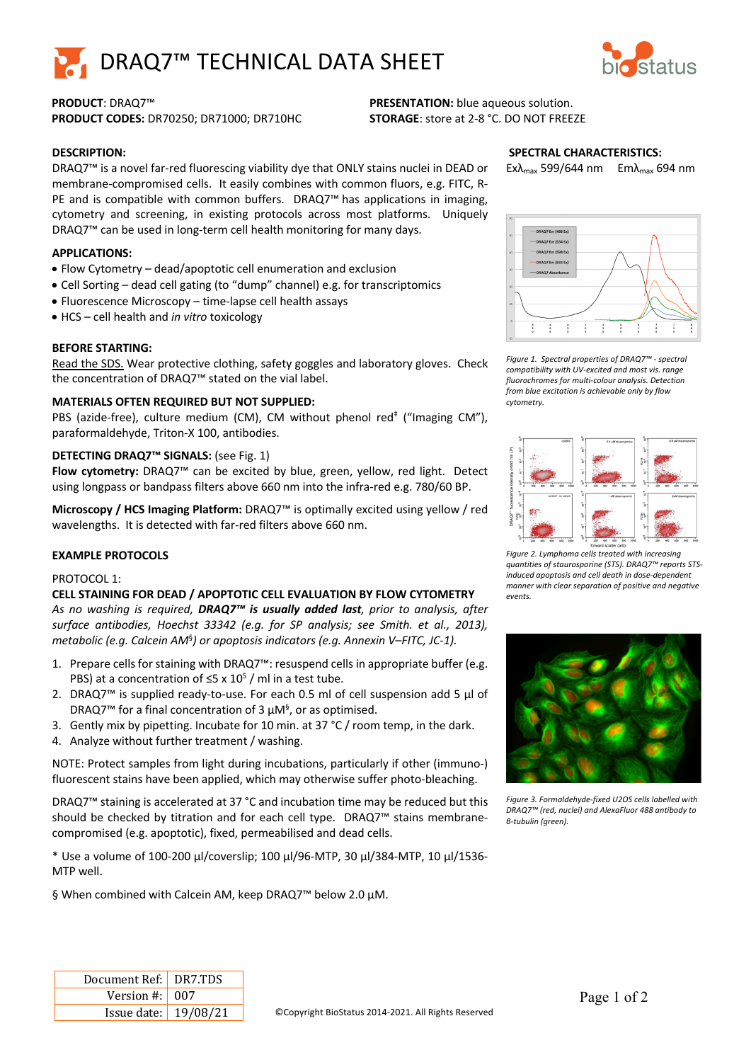



**PRODUCT CODES:** DR70250; DR71000; DR710HC **STORAGE**: store at 2-8 °C. DO NOT FREEZE

# **PRODUCT**: DRAQ7™ **PRESENTATION:** blue aqueous solution.

## **DESCRIPTION:**

DRAQ7™ is a novel far-red fluorescing viability dye that ONLY stains nuclei in DEAD or membrane-compromised cells. It easily combines with common fluors, e.g. FITC, R-PE and is compatible with common buffers. DRAQ7<sup>™</sup> has applications in imaging, cytometry and screening, in existing protocols across most platforms. Uniquely DRAQ7™ can be used in long-term cell health monitoring for many days.

## **APPLICATIONS:**

- Flow Cytometry dead/apoptotic cell enumeration and exclusion
- Cell Sorting dead cell gating (to "dump" channel) e.g. for transcriptomics
- Fluorescence Microscopy time-lapse cell health assays
- HCS cell health and *in vitro* toxicology

## **BEFORE STARTING:**

Read the SDS. Wear protective clothing, safety goggles and laboratory gloves. Check the concentration of DRAQ7™ stated on the vial label.

## **MATERIALS OFTEN REQUIRED BUT NOT SUPPLIED:**

PBS (azide-free), culture medium (CM), CM without phenol red<sup>#</sup> ("Imaging CM"), paraformaldehyde, Triton-X 100, antibodies.

## **DETECTING DRAQ7™ SIGNALS:** (see Fig. 1)

**Flow cytometry:** DRAQ7™ can be excited by blue, green, yellow, red light. Detect using longpass or bandpass filters above 660 nm into the infra-red e.g. 780/60 BP.

**Microscopy / HCS Imaging Platform:** DRAQ7™ is optimally excited using yellow / red wavelengths. It is detected with far-red filters above 660 nm.

## **EXAMPLE PROTOCOLS**

## PROTOCOL 1:

#### **CELL STAINING FOR DEAD / APOPTOTIC CELL EVALUATION BY FLOW CYTOMETRY**

*As no washing is required, DRAQ7™ is usually added last, prior to analysis, after surface antibodies, Hoechst 33342 (e.g. for SP analysis; see Smith. et al., 2013), metabolic (e.g. Calcein AM*§ *) or apoptosis indicators (e.g. Annexin V–FITC, JC-1).* 

- 1. Prepare cells for staining with DRAQ7™: resuspend cells in appropriate buffer (e.g. PBS) at a concentration of  $\leq$ 5 x 10<sup>5</sup> / ml in a test tube.
- 2. DRAQ7™ is supplied ready-to-use. For each 0.5 ml of cell suspension add 5 µl of DRAQ7<sup>™</sup> for a final concentration of 3  $\mu$ M<sup>§</sup>, or as optimised.
- 3. Gently mix by pipetting. Incubate for 10 min. at 37 °C / room temp, in the dark.
- 4. Analyze without further treatment / washing.

NOTE: Protect samples from light during incubations, particularly if other (immuno-) fluorescent stains have been applied, which may otherwise suffer photo-bleaching.

DRAQ7™ staining is accelerated at 37 °C and incubation time may be reduced but this should be checked by titration and for each cell type. DRAQ7™ stains membranecompromised (e.g. apoptotic), fixed, permeabilised and dead cells.

\* Use a volume of 100-200 µl/coverslip; 100 µl/96-MTP, 30 µl/384-MTP, 10 µl/1536- MTP well.

§ When combined with Calcein AM, keep DRAQ7<sup>™</sup> below 2.0 µM.

## **SPECTRAL CHARACTERISTICS:**

Exλ<sub>max</sub> 599/644 nm Emλ<sub>max</sub> 694 nm



*Figure 1. Spectral properties of DRAQ7™ - spectral compatibility with UV-excited and most vis. range fluorochromes for multi-colour analysis. Detection from blue excitation is achievable only by flow cytometry.*



*Figure 2. Lymphoma cells treated with increasing quantities of staurosporine (STS). DRAQ7™ reports STSinduced apoptosis and cell death in dose-dependent manner with clear separation of positive and negative events.*



*Figure 3. Formaldehyde-fixed U2OS cells labelled with DRAQ7™ (red, nuclei) and AlexaFluor 488 antibody to β-tubulin (green).*

| Document Ref: DR7.TDS        |  |
|------------------------------|--|
| Version #: $\vert 007 \vert$ |  |
| Issue date:   19/08/21       |  |